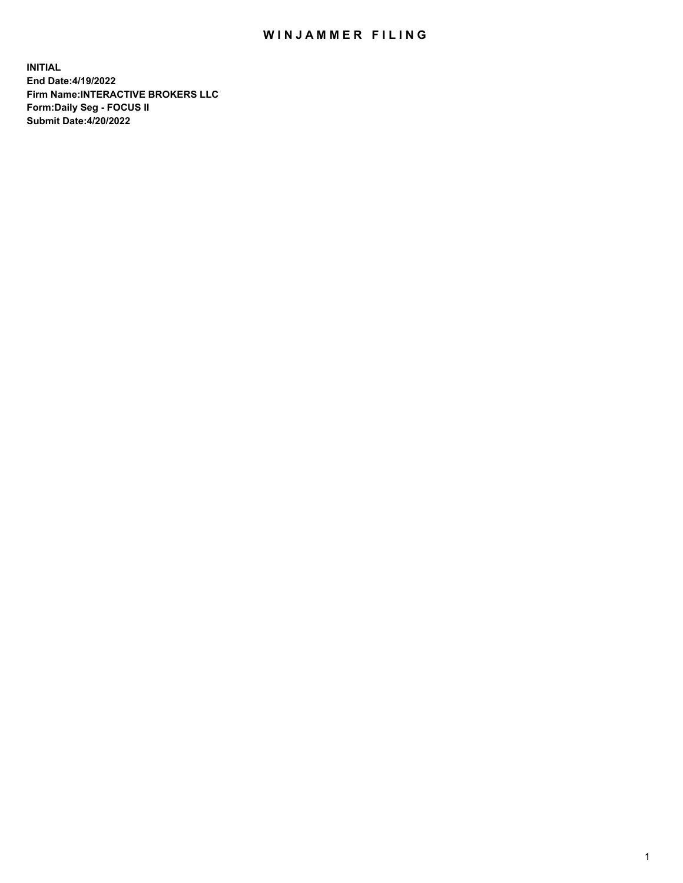## WIN JAMMER FILING

**INITIAL End Date:4/19/2022 Firm Name:INTERACTIVE BROKERS LLC Form:Daily Seg - FOCUS II Submit Date:4/20/2022**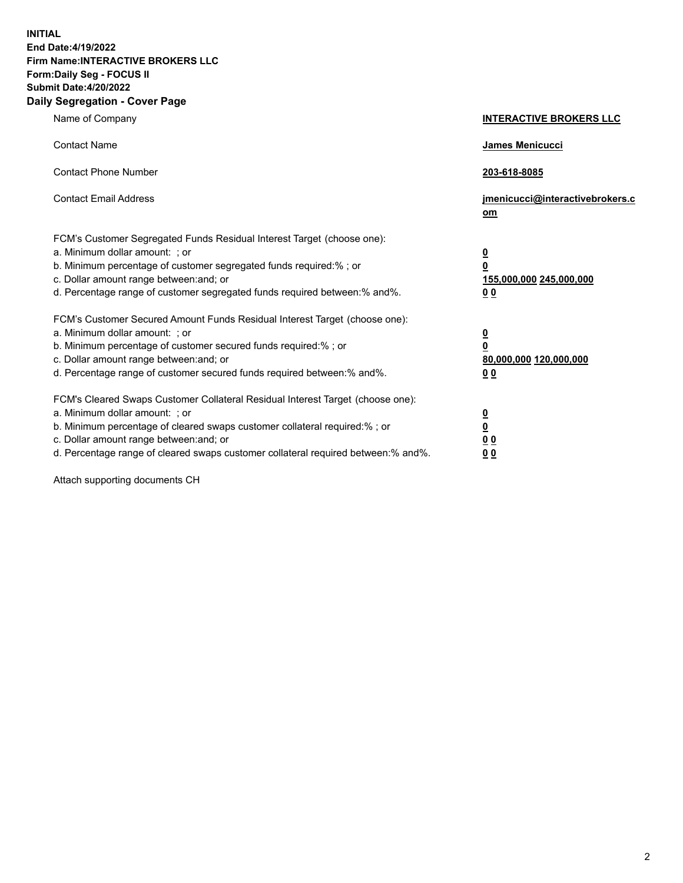**INITIAL End Date:4/19/2022 Firm Name:INTERACTIVE BROKERS LLC Form:Daily Seg - FOCUS II Submit Date:4/20/2022 Daily Segregation - Cover Page**

| Name of Company                                                                                                                                                                                                                                                                                                               | <b>INTERACTIVE BROKERS LLC</b>                                                                  |  |
|-------------------------------------------------------------------------------------------------------------------------------------------------------------------------------------------------------------------------------------------------------------------------------------------------------------------------------|-------------------------------------------------------------------------------------------------|--|
| <b>Contact Name</b>                                                                                                                                                                                                                                                                                                           | James Menicucci                                                                                 |  |
| <b>Contact Phone Number</b>                                                                                                                                                                                                                                                                                                   | 203-618-8085                                                                                    |  |
| <b>Contact Email Address</b>                                                                                                                                                                                                                                                                                                  | jmenicucci@interactivebrokers.c<br><u>om</u>                                                    |  |
| FCM's Customer Segregated Funds Residual Interest Target (choose one):<br>a. Minimum dollar amount: ; or<br>b. Minimum percentage of customer segregated funds required:% ; or<br>c. Dollar amount range between: and; or<br>d. Percentage range of customer segregated funds required between:% and%.                        | $\overline{\mathbf{0}}$<br>$\overline{\mathbf{0}}$<br>155,000,000 245,000,000<br>0 <sub>0</sub> |  |
| FCM's Customer Secured Amount Funds Residual Interest Target (choose one):<br>a. Minimum dollar amount: ; or<br>b. Minimum percentage of customer secured funds required:%; or<br>c. Dollar amount range between: and; or<br>d. Percentage range of customer secured funds required between:% and%.                           | $\overline{\mathbf{0}}$<br>$\overline{\mathbf{0}}$<br>80,000,000 120,000,000<br>0 <sub>0</sub>  |  |
| FCM's Cleared Swaps Customer Collateral Residual Interest Target (choose one):<br>a. Minimum dollar amount: ; or<br>b. Minimum percentage of cleared swaps customer collateral required:%; or<br>c. Dollar amount range between: and; or<br>d. Percentage range of cleared swaps customer collateral required between:% and%. | $\overline{\mathbf{0}}$<br>$\overline{\mathbf{0}}$<br>0 <sub>0</sub><br>0 <sub>0</sub>          |  |

Attach supporting documents CH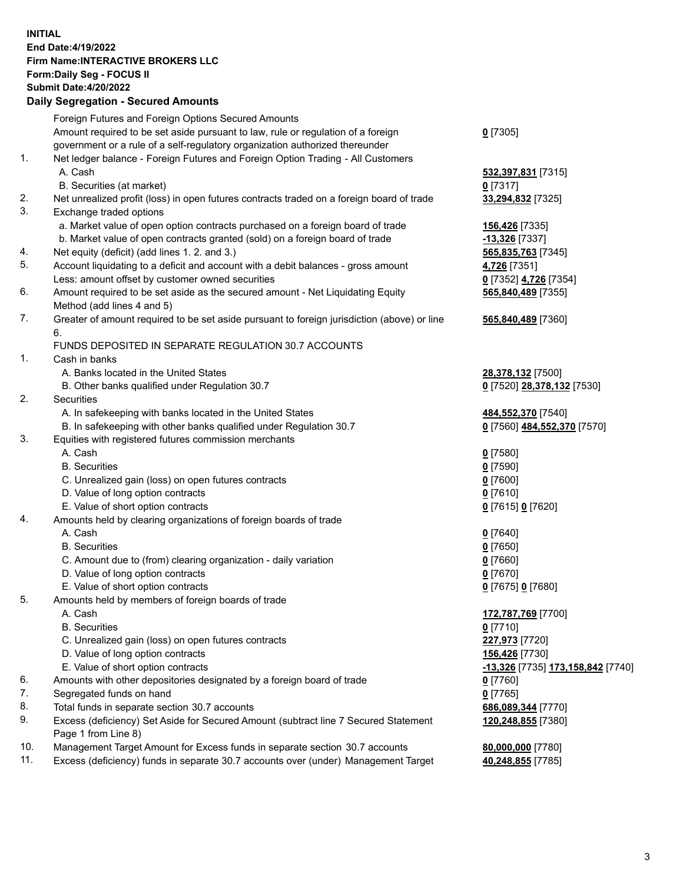**INITIAL End Date:4/19/2022 Firm Name:INTERACTIVE BROKERS LLC Form:Daily Seg - FOCUS II Submit Date:4/20/2022 Daily Segregation - Secured Amounts**

## Foreign Futures and Foreign Options Secured Amounts Amount required to be set aside pursuant to law, rule or regulation of a foreign government or a rule of a self-regulatory organization authorized thereunder **0** [7305] 1. Net ledger balance - Foreign Futures and Foreign Option Trading - All Customers A. Cash **532,397,831** [7315] B. Securities (at market) **0** [7317] 2. Net unrealized profit (loss) in open futures contracts traded on a foreign board of trade **33,294,832** [7325] 3. Exchange traded options a. Market value of open option contracts purchased on a foreign board of trade **156,426** [7335] b. Market value of open contracts granted (sold) on a foreign board of trade **-13,326** [7337] 4. Net equity (deficit) (add lines 1. 2. and 3.) **565,835,763** [7345] 5. Account liquidating to a deficit and account with a debit balances - gross amount **4,726** [7351] Less: amount offset by customer owned securities **0** [7352] **4,726** [7354] 6. Amount required to be set aside as the secured amount - Net Liquidating Equity Method (add lines 4 and 5) **565,840,489** [7355] 7. Greater of amount required to be set aside pursuant to foreign jurisdiction (above) or line 6. **565,840,489** [7360] FUNDS DEPOSITED IN SEPARATE REGULATION 30.7 ACCOUNTS 1. Cash in banks A. Banks located in the United States **28,378,132** [7500] B. Other banks qualified under Regulation 30.7 **0** [7520] **28,378,132** [7530] 2. Securities A. In safekeeping with banks located in the United States **484,552,370** [7540] B. In safekeeping with other banks qualified under Regulation 30.7 **0** [7560] **484,552,370** [7570] 3. Equities with registered futures commission merchants A. Cash **0** [7580] B. Securities **0** [7590] C. Unrealized gain (loss) on open futures contracts **0** [7600] D. Value of long option contracts **0** [7610] E. Value of short option contracts **0** [7615] **0** [7620] 4. Amounts held by clearing organizations of foreign boards of trade A. Cash **0** [7640] B. Securities **0** [7650] C. Amount due to (from) clearing organization - daily variation **0** [7660] D. Value of long option contracts **0** [7670] E. Value of short option contracts **0** [7675] **0** [7680] 5. Amounts held by members of foreign boards of trade A. Cash **172,787,769** [7700] B. Securities **0** [7710] C. Unrealized gain (loss) on open futures contracts **227,973** [7720] D. Value of long option contracts **156,426** [7730] E. Value of short option contracts **-13,326** [7735] **173,158,842** [7740] 6. Amounts with other depositories designated by a foreign board of trade **0** [7760] 7. Segregated funds on hand **0** [7765] 8. Total funds in separate section 30.7 accounts **686,089,344** [7770] 9. Excess (deficiency) Set Aside for Secured Amount (subtract line 7 Secured Statement Page 1 from Line 8) **120,248,855** [7380] 10. Management Target Amount for Excess funds in separate section 30.7 accounts **80,000,000** [7780] 11. Excess (deficiency) funds in separate 30.7 accounts over (under) Management Target **40,248,855** [7785]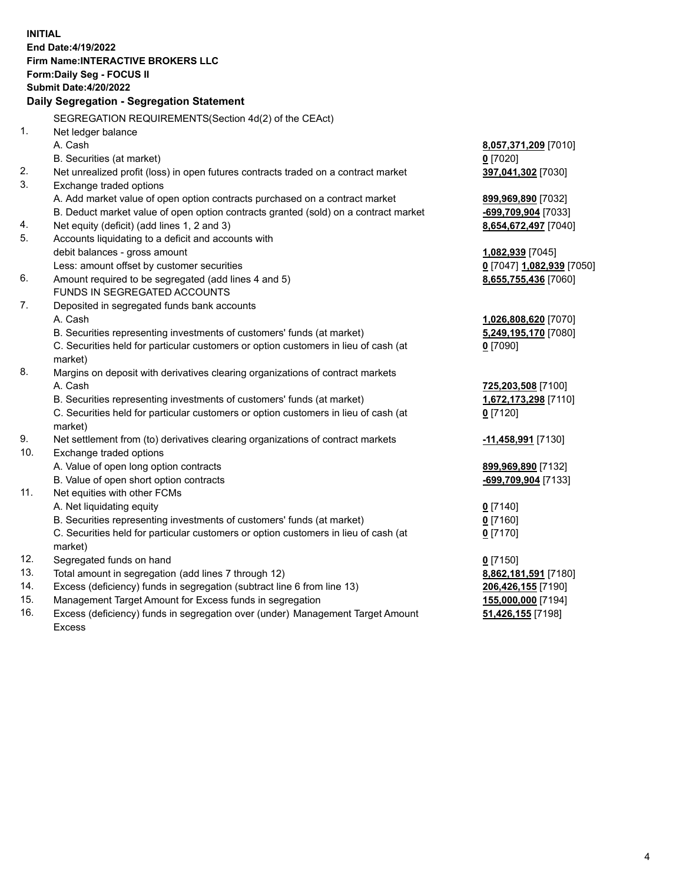**INITIAL End Date:4/19/2022 Firm Name:INTERACTIVE BROKERS LLC Form:Daily Seg - FOCUS II Submit Date:4/20/2022 Daily Segregation - Segregation Statement** SEGREGATION REQUIREMENTS(Section 4d(2) of the CEAct) 1. Net ledger balance A. Cash **8,057,371,209** [7010] B. Securities (at market) **0** [7020] 2. Net unrealized profit (loss) in open futures contracts traded on a contract market **397,041,302** [7030] 3. Exchange traded options A. Add market value of open option contracts purchased on a contract market **899,969,890** [7032] B. Deduct market value of open option contracts granted (sold) on a contract market **-699,709,904** [7033] 4. Net equity (deficit) (add lines 1, 2 and 3) **8,654,672,497** [7040] 5. Accounts liquidating to a deficit and accounts with debit balances - gross amount **1,082,939** [7045] Less: amount offset by customer securities **0** [7047] **1,082,939** [7050] 6. Amount required to be segregated (add lines 4 and 5) **8,655,755,436** [7060] FUNDS IN SEGREGATED ACCOUNTS 7. Deposited in segregated funds bank accounts A. Cash **1,026,808,620** [7070] B. Securities representing investments of customers' funds (at market) **5,249,195,170** [7080] C. Securities held for particular customers or option customers in lieu of cash (at market) **0** [7090] 8. Margins on deposit with derivatives clearing organizations of contract markets A. Cash **725,203,508** [7100] B. Securities representing investments of customers' funds (at market) **1,672,173,298** [7110] C. Securities held for particular customers or option customers in lieu of cash (at market) **0** [7120] 9. Net settlement from (to) derivatives clearing organizations of contract markets **-11,458,991** [7130] 10. Exchange traded options A. Value of open long option contracts **899,969,890** [7132] B. Value of open short option contracts **-699,709,904** [7133] 11. Net equities with other FCMs A. Net liquidating equity **0** [7140] B. Securities representing investments of customers' funds (at market) **0** [7160] C. Securities held for particular customers or option customers in lieu of cash (at market) **0** [7170] 12. Segregated funds on hand **0** [7150] 13. Total amount in segregation (add lines 7 through 12) **8,862,181,591** [7180] 14. Excess (deficiency) funds in segregation (subtract line 6 from line 13) **206,426,155** [7190] 15. Management Target Amount for Excess funds in segregation **155,000,000** [7194] 16. Excess (deficiency) funds in segregation over (under) Management Target Amount **51,426,155** [7198]

Excess